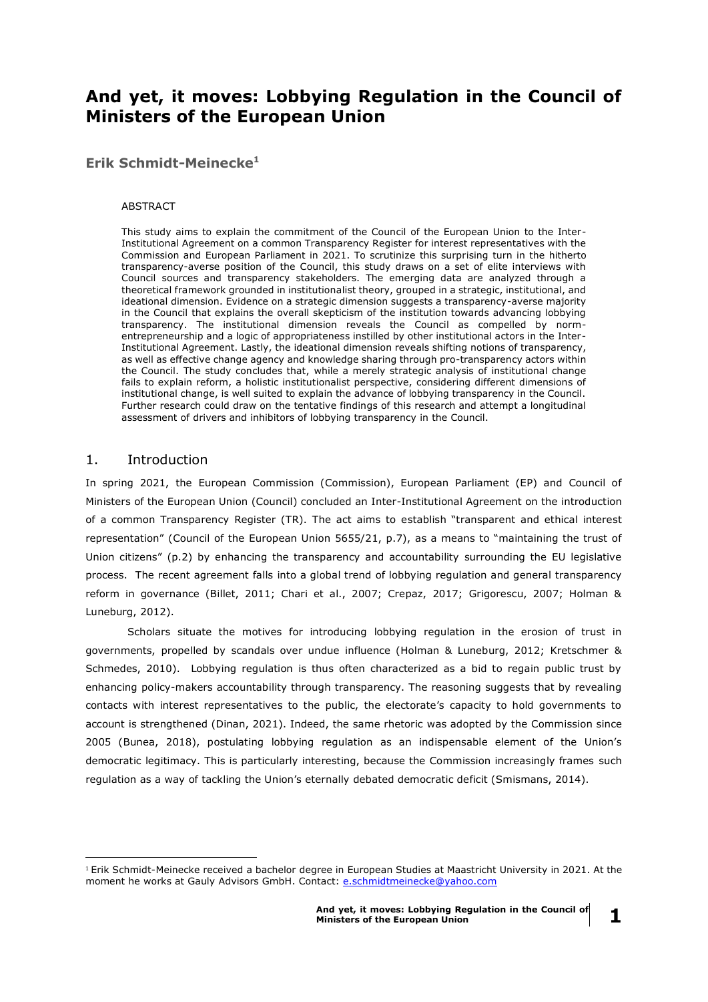# **And yet, it moves: Lobbying Regulation in the Council of Ministers of the European Union**

**Erik Schmidt-Meinecke<sup>1</sup>**

#### ABSTRACT

This study aims to explain the commitment of the Council of the European Union to the Inter-Institutional Agreement on a common Transparency Register for interest representatives with the Commission and European Parliament in 2021. To scrutinize this surprising turn in the hitherto transparency-averse position of the Council, this study draws on a set of elite interviews with Council sources and transparency stakeholders. The emerging data are analyzed through a theoretical framework grounded in institutionalist theory, grouped in a strategic, institutional, and ideational dimension. Evidence on a strategic dimension suggests a transparency-averse majority in the Council that explains the overall skepticism of the institution towards advancing lobbying transparency. The institutional dimension reveals the Council as compelled by normentrepreneurship and a logic of appropriateness instilled by other institutional actors in the Inter-Institutional Agreement. Lastly, the ideational dimension reveals shifting notions of transparency, as well as effective change agency and knowledge sharing through pro-transparency actors within the Council. The study concludes that, while a merely strategic analysis of institutional change fails to explain reform, a holistic institutionalist perspective, considering different dimensions of institutional change, is well suited to explain the advance of lobbying transparency in the Council. Further research could draw on the tentative findings of this research and attempt a longitudinal assessment of drivers and inhibitors of lobbying transparency in the Council.

## 1. Introduction

<u>.</u>

In spring 2021, the European Commission (Commission), European Parliament (EP) and Council of Ministers of the European Union (Council) concluded an Inter-Institutional Agreement on the introduction of a common Transparency Register (TR). The act aims to establish "transparent and ethical interest representation" (Council of the European Union 5655/21, p.7), as a means to "maintaining the trust of Union citizens" (p.2) by enhancing the transparency and accountability surrounding the EU legislative process. The recent agreement falls into a global trend of lobbying regulation and general transparency reform in governance (Billet, 2011; Chari et al., 2007; Crepaz, 2017; Grigorescu, 2007; Holman & Luneburg, 2012).

Scholars situate the motives for introducing lobbying regulation in the erosion of trust in governments, propelled by scandals over undue influence (Holman & Luneburg, 2012; Kretschmer & Schmedes, 2010). Lobbying regulation is thus often characterized as a bid to regain public trust by enhancing policy-makers accountability through transparency. The reasoning suggests that by revealing contacts with interest representatives to the public, the electorate's capacity to hold governments to account is strengthened (Dinan, 2021). Indeed, the same rhetoric was adopted by the Commission since 2005 (Bunea, 2018), postulating lobbying regulation as an indispensable element of the Union's democratic legitimacy. This is particularly interesting, because the Commission increasingly frames such regulation as a way of tackling the Union's eternally debated democratic deficit (Smismans, 2014).

**1**

<sup>1</sup> Erik Schmidt-Meinecke received a bachelor degree in European Studies at Maastricht University in 2021. At the moment he works at Gauly Advisors GmbH. Contact: [e.schmidtmeinecke@yahoo.com](mailto:e.schmidtmeinecke@yahoo.com)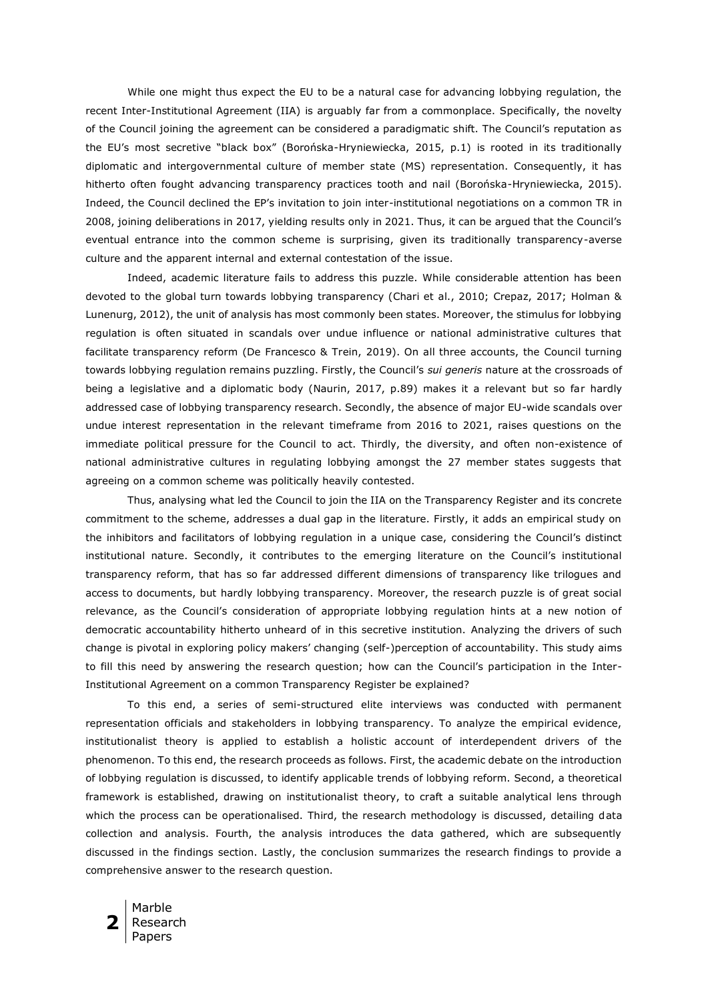While one might thus expect the EU to be a natural case for advancing lobbying regulation, the recent Inter-Institutional Agreement (IIA) is arguably far from a commonplace. Specifically, the novelty of the Council joining the agreement can be considered a paradigmatic shift. The Council's reputation as the EU's most secretive "black box" (Borońska-Hryniewiecka, 2015, p.1) is rooted in its traditionally diplomatic and intergovernmental culture of member state (MS) representation. Consequently, it has hitherto often fought advancing transparency practices tooth and nail (Borońska-Hryniewiecka, 2015). Indeed, the Council declined the EP's invitation to join inter-institutional negotiations on a common TR in 2008, joining deliberations in 2017, yielding results only in 2021. Thus, it can be argued that the Council's eventual entrance into the common scheme is surprising, given its traditionally transparency-averse culture and the apparent internal and external contestation of the issue.

Indeed, academic literature fails to address this puzzle. While considerable attention has been devoted to the global turn towards lobbying transparency (Chari et al., 2010; Crepaz, 2017; Holman & Lunenurg, 2012), the unit of analysis has most commonly been states. Moreover, the stimulus for lobbying regulation is often situated in scandals over undue influence or national administrative cultures that facilitate transparency reform (De Francesco & Trein, 2019). On all three accounts, the Council turning towards lobbying regulation remains puzzling. Firstly, the Council's *sui generis* nature at the crossroads of being a legislative and a diplomatic body (Naurin, 2017, p.89) makes it a relevant but so far hardly addressed case of lobbying transparency research. Secondly, the absence of major EU-wide scandals over undue interest representation in the relevant timeframe from 2016 to 2021, raises questions on the immediate political pressure for the Council to act. Thirdly, the diversity, and often non-existence of national administrative cultures in regulating lobbying amongst the 27 member states suggests that agreeing on a common scheme was politically heavily contested.

Thus, analysing what led the Council to join the IIA on the Transparency Register and its concrete commitment to the scheme, addresses a dual gap in the literature. Firstly, it adds an empirical study on the inhibitors and facilitators of lobbying regulation in a unique case, considering the Council's distinct institutional nature. Secondly, it contributes to the emerging literature on the Council's institutional transparency reform, that has so far addressed different dimensions of transparency like trilogues and access to documents, but hardly lobbying transparency. Moreover, the research puzzle is of great social relevance, as the Council's consideration of appropriate lobbying regulation hints at a new notion of democratic accountability hitherto unheard of in this secretive institution. Analyzing the drivers of such change is pivotal in exploring policy makers' changing (self-)perception of accountability. This study aims to fill this need by answering the research question; how can the Council's participation in the Inter-Institutional Agreement on a common Transparency Register be explained?

To this end, a series of semi-structured elite interviews was conducted with permanent representation officials and stakeholders in lobbying transparency. To analyze the empirical evidence, institutionalist theory is applied to establish a holistic account of interdependent drivers of the phenomenon. To this end, the research proceeds as follows. First, the academic debate on the introduction of lobbying regulation is discussed, to identify applicable trends of lobbying reform. Second, a theoretical framework is established, drawing on institutionalist theory, to craft a suitable analytical lens through which the process can be operationalised. Third, the research methodology is discussed, detailing data collection and analysis. Fourth, the analysis introduces the data gathered, which are subsequently discussed in the findings section. Lastly, the conclusion summarizes the research findings to provide a comprehensive answer to the research question.

**2** Marble Research Papers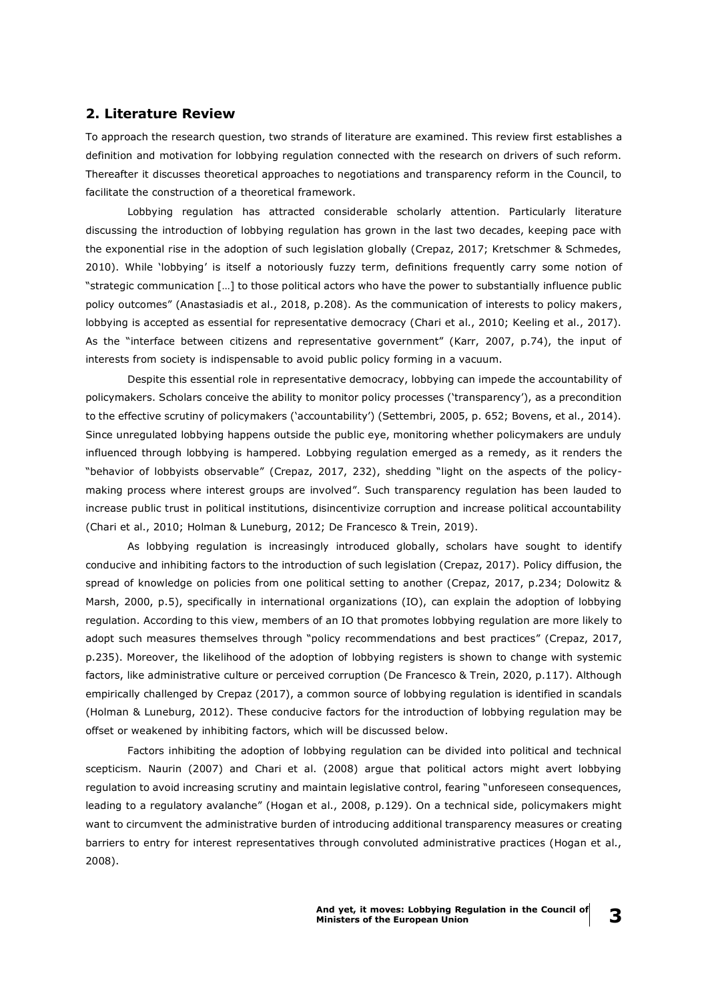## **2. Literature Review**

To approach the research question, two strands of literature are examined. This review first establishes a definition and motivation for lobbying regulation connected with the research on drivers of such reform. Thereafter it discusses theoretical approaches to negotiations and transparency reform in the Council, to facilitate the construction of a theoretical framework.

Lobbying regulation has attracted considerable scholarly attention. Particularly literature discussing the introduction of lobbying regulation has grown in the last two decades, keeping pace with the exponential rise in the adoption of such legislation globally (Crepaz, 2017; Kretschmer & Schmedes, 2010). While 'lobbying' is itself a notoriously fuzzy term, definitions frequently carry some notion of "strategic communication […] to those political actors who have the power to substantially influence public policy outcomes" (Anastasiadis et al., 2018, p.208). As the communication of interests to policy makers, lobbying is accepted as essential for representative democracy (Chari et al., 2010; Keeling et al., 2017). As the "interface between citizens and representative government" (Karr, 2007, p.74), the input of interests from society is indispensable to avoid public policy forming in a vacuum.

Despite this essential role in representative democracy, lobbying can impede the accountability of policymakers. Scholars conceive the ability to monitor policy processes ('transparency'), as a precondition to the effective scrutiny of policymakers ('accountability') (Settembri, 2005, p. 652; Bovens, et al., 2014). Since unregulated lobbying happens outside the public eye, monitoring whether policymakers are unduly influenced through lobbying is hampered. Lobbying regulation emerged as a remedy, as it renders the "behavior of lobbyists observable" (Crepaz, 2017, 232), shedding "light on the aspects of the policymaking process where interest groups are involved". Such transparency regulation has been lauded to increase public trust in political institutions, disincentivize corruption and increase political accountability (Chari et al., 2010; Holman & Luneburg, 2012; De Francesco & Trein, 2019).

As lobbying regulation is increasingly introduced globally, scholars have sought to identify conducive and inhibiting factors to the introduction of such legislation (Crepaz, 2017). Policy diffusion, the spread of knowledge on policies from one political setting to another (Crepaz, 2017, p.234; Dolowitz & Marsh, 2000, p.5), specifically in international organizations (IO), can explain the adoption of lobbying regulation. According to this view, members of an IO that promotes lobbying regulation are more likely to adopt such measures themselves through "policy recommendations and best practices" (Crepaz, 2017, p.235). Moreover, the likelihood of the adoption of lobbying registers is shown to change with systemic factors, like administrative culture or perceived corruption (De Francesco & Trein, 2020, p.117). Although empirically challenged by Crepaz (2017), a common source of lobbying regulation is identified in scandals (Holman & Luneburg, 2012). These conducive factors for the introduction of lobbying regulation may be offset or weakened by inhibiting factors, which will be discussed below.

Factors inhibiting the adoption of lobbying regulation can be divided into political and technical scepticism. Naurin (2007) and Chari et al. (2008) argue that political actors might avert lobbying regulation to avoid increasing scrutiny and maintain legislative control, fearing "unforeseen consequences, leading to a regulatory avalanche" (Hogan et al., 2008, p.129). On a technical side, policymakers might want to circumvent the administrative burden of introducing additional transparency measures or creating barriers to entry for interest representatives through convoluted administrative practices (Hogan et al., 2008).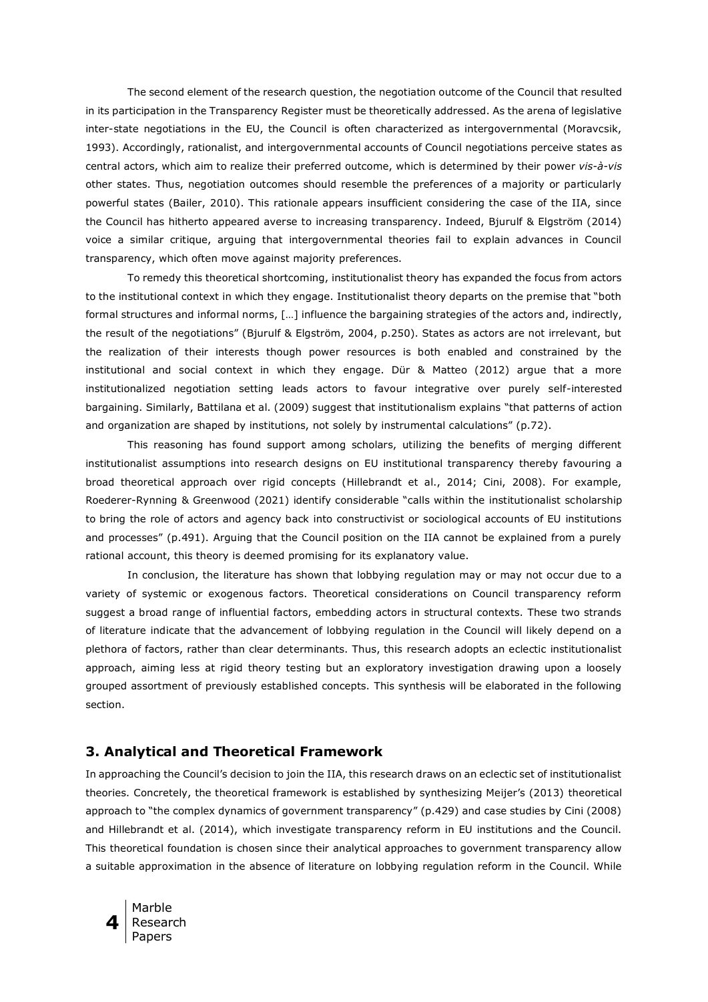The second element of the research question, the negotiation outcome of the Council that resulted in its participation in the Transparency Register must be theoretically addressed. As the arena of legislative inter-state negotiations in the EU, the Council is often characterized as intergovernmental (Moravcsik, 1993). Accordingly, rationalist, and intergovernmental accounts of Council negotiations perceive states as central actors, which aim to realize their preferred outcome, which is determined by their power *vis-à-vis*  other states. Thus, negotiation outcomes should resemble the preferences of a majority or particularly powerful states (Bailer, 2010). This rationale appears insufficient considering the case of the IIA, since the Council has hitherto appeared averse to increasing transparency. Indeed, Bjurulf & Elgström (2014) voice a similar critique, arguing that intergovernmental theories fail to explain advances in Council transparency, which often move against majority preferences.

To remedy this theoretical shortcoming, institutionalist theory has expanded the focus from actors to the institutional context in which they engage. Institutionalist theory departs on the premise that "both formal structures and informal norms, […] influence the bargaining strategies of the actors and, indirectly, the result of the negotiations" (Bjurulf & Elgström, 2004, p.250). States as actors are not irrelevant, but the realization of their interests though power resources is both enabled and constrained by the institutional and social context in which they engage. Dür & Matteo (2012) argue that a more institutionalized negotiation setting leads actors to favour integrative over purely self-interested bargaining. Similarly, Battilana et al. (2009) suggest that institutionalism explains "that patterns of action and organization are shaped by institutions, not solely by instrumental calculations" (p.72).

This reasoning has found support among scholars, utilizing the benefits of merging different institutionalist assumptions into research designs on EU institutional transparency thereby favouring a broad theoretical approach over rigid concepts (Hillebrandt et al., 2014; Cini, 2008). For example, Roederer-Rynning & Greenwood (2021) identify considerable "calls within the institutionalist scholarship to bring the role of actors and agency back into constructivist or sociological accounts of EU institutions and processes" (p.491). Arguing that the Council position on the IIA cannot be explained from a purely rational account, this theory is deemed promising for its explanatory value.

In conclusion, the literature has shown that lobbying regulation may or may not occur due to a variety of systemic or exogenous factors. Theoretical considerations on Council transparency reform suggest a broad range of influential factors, embedding actors in structural contexts. These two strands of literature indicate that the advancement of lobbying regulation in the Council will likely depend on a plethora of factors, rather than clear determinants. Thus, this research adopts an eclectic institutionalist approach, aiming less at rigid theory testing but an exploratory investigation drawing upon a loosely grouped assortment of previously established concepts. This synthesis will be elaborated in the following section.

## **3. Analytical and Theoretical Framework**

In approaching the Council's decision to join the IIA, this research draws on an eclectic set of institutionalist theories. Concretely, the theoretical framework is established by synthesizing Meijer's (2013) theoretical approach to "the complex dynamics of government transparency" (p.429) and case studies by Cini (2008) and Hillebrandt et al. (2014), which investigate transparency reform in EU institutions and the Council. This theoretical foundation is chosen since their analytical approaches to government transparency allow a suitable approximation in the absence of literature on lobbying regulation reform in the Council. While

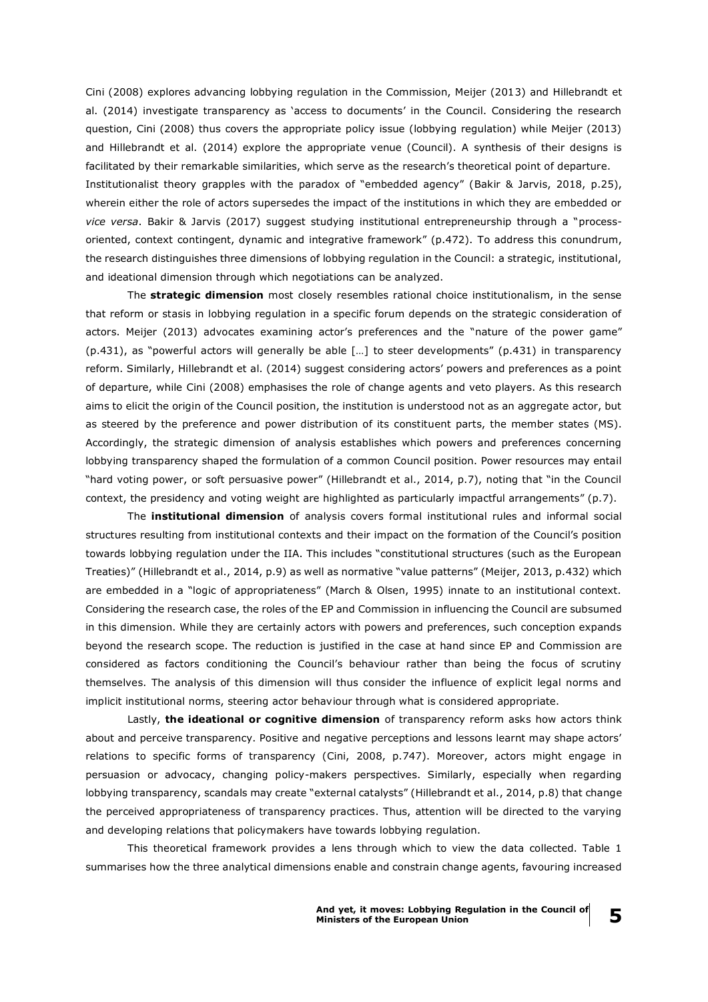Cini (2008) explores advancing lobbying regulation in the Commission, Meijer (2013) and Hillebrandt et al. (2014) investigate transparency as 'access to documents' in the Council. Considering the research question, Cini (2008) thus covers the appropriate policy issue (lobbying regulation) while Meijer (2013) and Hillebrandt et al. (2014) explore the appropriate venue (Council). A synthesis of their designs is facilitated by their remarkable similarities, which serve as the research's theoretical point of departure. Institutionalist theory grapples with the paradox of "embedded agency" (Bakir & Jarvis, 2018, p.25), wherein either the role of actors supersedes the impact of the institutions in which they are embedded or *vice versa*. Bakir & Jarvis (2017) suggest studying institutional entrepreneurship through a "processoriented, context contingent, dynamic and integrative framework" (p.472). To address this conundrum, the research distinguishes three dimensions of lobbying regulation in the Council: a strategic, institutional, and ideational dimension through which negotiations can be analyzed.

The **strategic dimension** most closely resembles rational choice institutionalism, in the sense that reform or stasis in lobbying regulation in a specific forum depends on the strategic consideration of actors. Meijer (2013) advocates examining actor's preferences and the "nature of the power game" (p.431), as "powerful actors will generally be able […] to steer developments" (p.431) in transparency reform. Similarly, Hillebrandt et al. (2014) suggest considering actors' powers and preferences as a point of departure, while Cini (2008) emphasises the role of change agents and veto players. As this research aims to elicit the origin of the Council position, the institution is understood not as an aggregate actor, but as steered by the preference and power distribution of its constituent parts, the member states (MS). Accordingly, the strategic dimension of analysis establishes which powers and preferences concerning lobbying transparency shaped the formulation of a common Council position. Power resources may entail "hard voting power, or soft persuasive power" (Hillebrandt et al., 2014, p.7), noting that "in the Council context, the presidency and voting weight are highlighted as particularly impactful arrangements" (p.7).

The **institutional dimension** of analysis covers formal institutional rules and informal social structures resulting from institutional contexts and their impact on the formation of the Council's position towards lobbying regulation under the IIA. This includes "constitutional structures (such as the European Treaties)" (Hillebrandt et al., 2014, p.9) as well as normative "value patterns" (Meijer, 2013, p.432) which are embedded in a "logic of appropriateness" (March & Olsen, 1995) innate to an institutional context. Considering the research case, the roles of the EP and Commission in influencing the Council are subsumed in this dimension. While they are certainly actors with powers and preferences, such conception expands beyond the research scope. The reduction is justified in the case at hand since EP and Commission are considered as factors conditioning the Council's behaviour rather than being the focus of scrutiny themselves. The analysis of this dimension will thus consider the influence of explicit legal norms and implicit institutional norms, steering actor behaviour through what is considered appropriate.

Lastly, **the ideational or cognitive dimension** of transparency reform asks how actors think about and perceive transparency. Positive and negative perceptions and lessons learnt may shape actors' relations to specific forms of transparency (Cini, 2008, p.747). Moreover, actors might engage in persuasion or advocacy, changing policy-makers perspectives. Similarly, especially when regarding lobbying transparency, scandals may create "external catalysts" (Hillebrandt et al., 2014, p.8) that change the perceived appropriateness of transparency practices. Thus, attention will be directed to the varying and developing relations that policymakers have towards lobbying regulation.

This theoretical framework provides a lens through which to view the data collected. Table 1 summarises how the three analytical dimensions enable and constrain change agents, favouring increased

**5**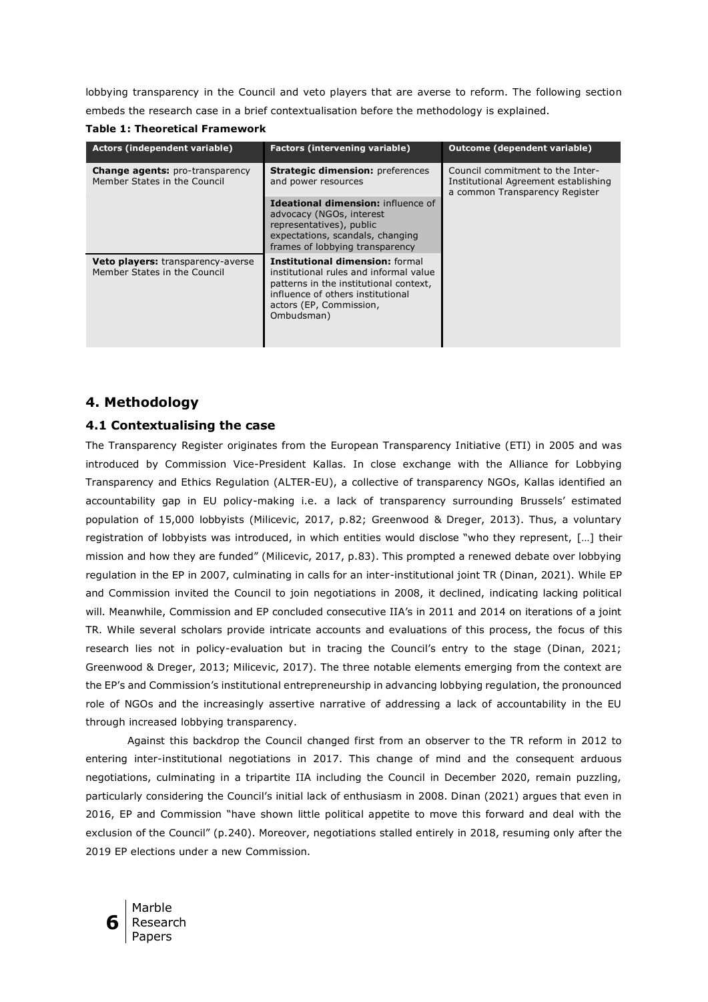lobbying transparency in the Council and veto players that are averse to reform. The following section embeds the research case in a brief contextualisation before the methodology is explained.

**Table 1: Theoretical Framework**

| Actors (independent variable)                                          | <b>Factors (intervening variable)</b>                                                                                                                                                                    | <b>Outcome (dependent variable)</b>                                                                        |
|------------------------------------------------------------------------|----------------------------------------------------------------------------------------------------------------------------------------------------------------------------------------------------------|------------------------------------------------------------------------------------------------------------|
| <b>Change agents:</b> pro-transparency<br>Member States in the Council | <b>Strategic dimension: preferences</b><br>and power resources                                                                                                                                           | Council commitment to the Inter-<br>Institutional Agreement establishing<br>a common Transparency Register |
|                                                                        | Ideational dimension: influence of<br>advocacy (NGOs, interest<br>representatives), public<br>expectations, scandals, changing<br>frames of lobbying transparency                                        |                                                                                                            |
| Veto players: transparency-averse<br>Member States in the Council      | <b>Institutional dimension: formal</b><br>institutional rules and informal value<br>patterns in the institutional context,<br>influence of others institutional<br>actors (EP, Commission,<br>Ombudsman) |                                                                                                            |

## **4. Methodology**

## **4.1 Contextualising the case**

The Transparency Register originates from the European Transparency Initiative (ETI) in 2005 and was introduced by Commission Vice-President Kallas. In close exchange with the Alliance for Lobbying Transparency and Ethics Regulation (ALTER-EU), a collective of transparency NGOs, Kallas identified an accountability gap in EU policy-making i.e. a lack of transparency surrounding Brussels' estimated population of 15,000 lobbyists (Milicevic, 2017, p.82; Greenwood & Dreger, 2013). Thus, a voluntary registration of lobbyists was introduced, in which entities would disclose "who they represent, […] their mission and how they are funded" (Milicevic, 2017, p.83). This prompted a renewed debate over lobbying regulation in the EP in 2007, culminating in calls for an inter-institutional joint TR (Dinan, 2021). While EP and Commission invited the Council to join negotiations in 2008, it declined, indicating lacking political will. Meanwhile, Commission and EP concluded consecutive IIA's in 2011 and 2014 on iterations of a joint TR. While several scholars provide intricate accounts and evaluations of this process, the focus of this research lies not in policy-evaluation but in tracing the Council's entry to the stage (Dinan, 2021; Greenwood & Dreger, 2013; Milicevic, 2017). The three notable elements emerging from the context are the EP's and Commission's institutional entrepreneurship in advancing lobbying regulation, the pronounced role of NGOs and the increasingly assertive narrative of addressing a lack of accountability in the EU through increased lobbying transparency.

Against this backdrop the Council changed first from an observer to the TR reform in 2012 to entering inter-institutional negotiations in 2017. This change of mind and the consequent arduous negotiations, culminating in a tripartite IIA including the Council in December 2020, remain puzzling, particularly considering the Council's initial lack of enthusiasm in 2008. Dinan (2021) argues that even in 2016, EP and Commission "have shown little political appetite to move this forward and deal with the exclusion of the Council" (p.240). Moreover, negotiations stalled entirely in 2018, resuming only after the 2019 EP elections under a new Commission.

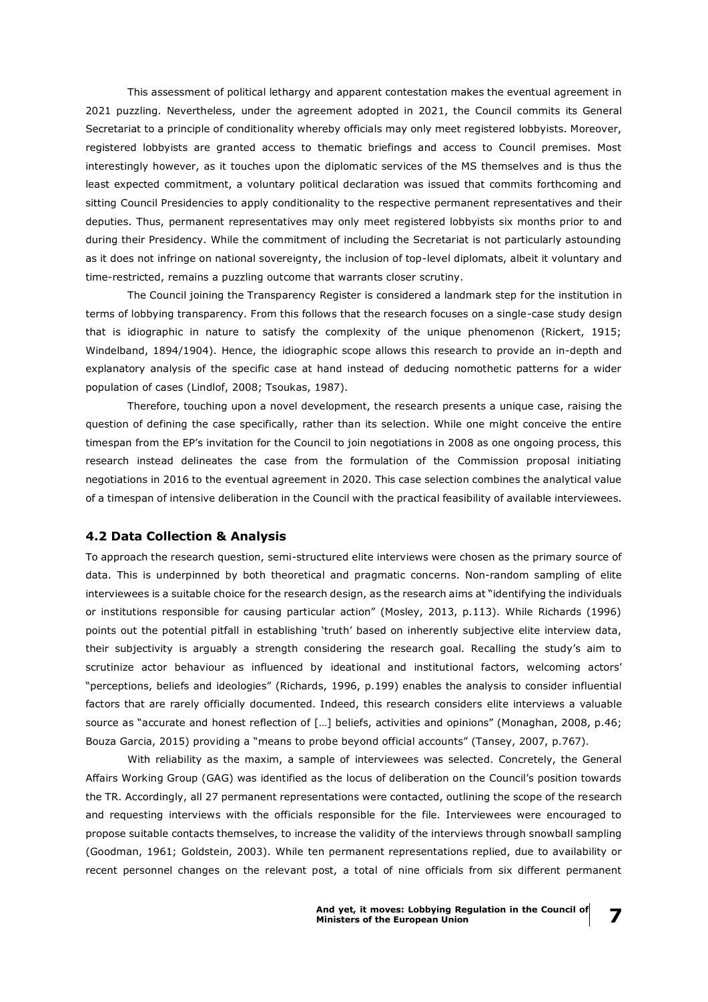This assessment of political lethargy and apparent contestation makes the eventual agreement in 2021 puzzling. Nevertheless, under the agreement adopted in 2021, the Council commits its General Secretariat to a principle of conditionality whereby officials may only meet registered lobbyists. Moreover, registered lobbyists are granted access to thematic briefings and access to Council premises. Most interestingly however, as it touches upon the diplomatic services of the MS themselves and is thus the least expected commitment, a voluntary political declaration was issued that commits forthcoming and sitting Council Presidencies to apply conditionality to the respective permanent representatives and their deputies. Thus, permanent representatives may only meet registered lobbyists six months prior to and during their Presidency. While the commitment of including the Secretariat is not particularly astounding as it does not infringe on national sovereignty, the inclusion of top-level diplomats, albeit it voluntary and time-restricted, remains a puzzling outcome that warrants closer scrutiny.

The Council joining the Transparency Register is considered a landmark step for the institution in terms of lobbying transparency. From this follows that the research focuses on a single-case study design that is idiographic in nature to satisfy the complexity of the unique phenomenon (Rickert, 1915; Windelband, 1894/1904). Hence, the idiographic scope allows this research to provide an in-depth and explanatory analysis of the specific case at hand instead of deducing nomothetic patterns for a wider population of cases (Lindlof, 2008; Tsoukas, 1987).

Therefore, touching upon a novel development, the research presents a unique case, raising the question of defining the case specifically, rather than its selection. While one might conceive the entire timespan from the EP's invitation for the Council to join negotiations in 2008 as one ongoing process, this research instead delineates the case from the formulation of the Commission proposal initiating negotiations in 2016 to the eventual agreement in 2020. This case selection combines the analytical value of a timespan of intensive deliberation in the Council with the practical feasibility of available interviewees.

#### **4.2 Data Collection & Analysis**

To approach the research question, semi-structured elite interviews were chosen as the primary source of data. This is underpinned by both theoretical and pragmatic concerns. Non-random sampling of elite interviewees is a suitable choice for the research design, as the research aims at "identifying the individuals or institutions responsible for causing particular action" (Mosley, 2013, p.113). While Richards (1996) points out the potential pitfall in establishing 'truth' based on inherently subjective elite interview data, their subjectivity is arguably a strength considering the research goal. Recalling the study's aim to scrutinize actor behaviour as influenced by ideational and institutional factors, welcoming actors' "perceptions, beliefs and ideologies" (Richards, 1996, p.199) enables the analysis to consider influential factors that are rarely officially documented. Indeed, this research considers elite interviews a valuable source as "accurate and honest reflection of […] beliefs, activities and opinions" (Monaghan, 2008, p.46; Bouza Garcia, 2015) providing a "means to probe beyond official accounts" (Tansey, 2007, p.767).

With reliability as the maxim, a sample of interviewees was selected. Concretely, the General Affairs Working Group (GAG) was identified as the locus of deliberation on the Council's position towards the TR. Accordingly, all 27 permanent representations were contacted, outlining the scope of the research and requesting interviews with the officials responsible for the file. Interviewees were encouraged to propose suitable contacts themselves, to increase the validity of the interviews through snowball sampling (Goodman, 1961; Goldstein, 2003). While ten permanent representations replied, due to availability or recent personnel changes on the relevant post, a total of nine officials from six different permanent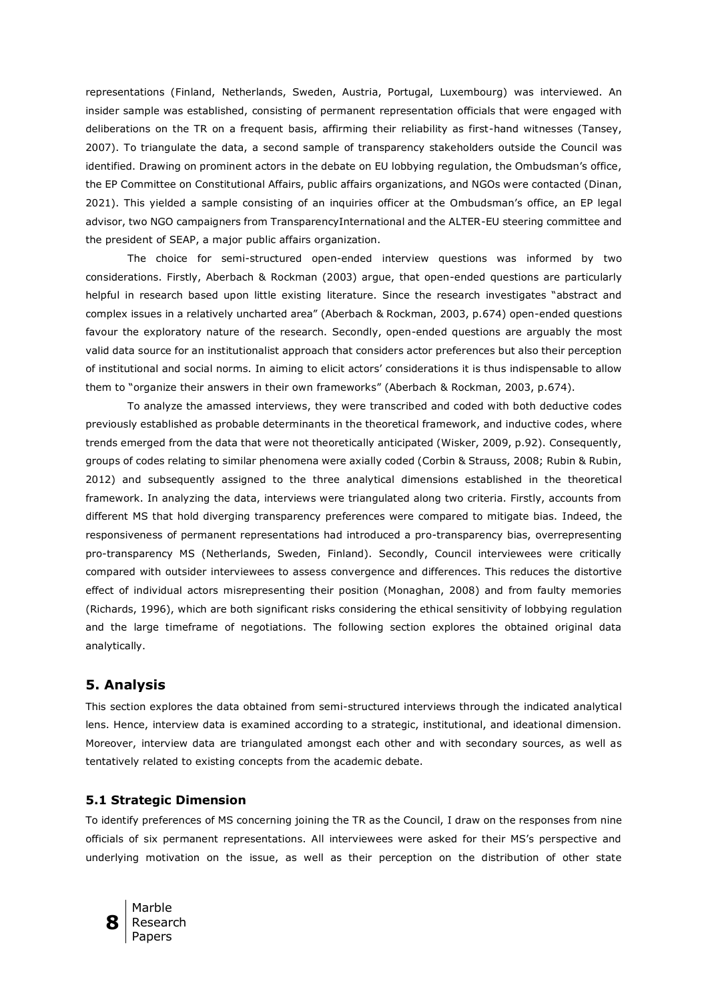representations (Finland, Netherlands, Sweden, Austria, Portugal, Luxembourg) was interviewed. An insider sample was established, consisting of permanent representation officials that were engaged with deliberations on the TR on a frequent basis, affirming their reliability as first-hand witnesses (Tansey, 2007). To triangulate the data, a second sample of transparency stakeholders outside the Council was identified. Drawing on prominent actors in the debate on EU lobbying regulation, the Ombudsman's office, the EP Committee on Constitutional Affairs, public affairs organizations, and NGOs were contacted (Dinan, 2021). This yielded a sample consisting of an inquiries officer at the Ombudsman's office, an EP legal advisor, two NGO campaigners from TransparencyInternational and the ALTER-EU steering committee and the president of SEAP, a major public affairs organization.

The choice for semi-structured open-ended interview questions was informed by two considerations. Firstly, Aberbach & Rockman (2003) argue, that open-ended questions are particularly helpful in research based upon little existing literature. Since the research investigates "abstract and complex issues in a relatively uncharted area" (Aberbach & Rockman, 2003, p.674) open-ended questions favour the exploratory nature of the research. Secondly, open-ended questions are arguably the most valid data source for an institutionalist approach that considers actor preferences but also their perception of institutional and social norms. In aiming to elicit actors' considerations it is thus indispensable to allow them to "organize their answers in their own frameworks" (Aberbach & Rockman, 2003, p.674).

To analyze the amassed interviews, they were transcribed and coded with both deductive codes previously established as probable determinants in the theoretical framework, and inductive codes, where trends emerged from the data that were not theoretically anticipated (Wisker, 2009, p.92). Consequently, groups of codes relating to similar phenomena were axially coded (Corbin & Strauss, 2008; Rubin & Rubin, 2012) and subsequently assigned to the three analytical dimensions established in the theoretical framework. In analyzing the data, interviews were triangulated along two criteria. Firstly, accounts from different MS that hold diverging transparency preferences were compared to mitigate bias. Indeed, the responsiveness of permanent representations had introduced a pro-transparency bias, overrepresenting pro-transparency MS (Netherlands, Sweden, Finland). Secondly, Council interviewees were critically compared with outsider interviewees to assess convergence and differences. This reduces the distortive effect of individual actors misrepresenting their position (Monaghan, 2008) and from faulty memories (Richards, 1996), which are both significant risks considering the ethical sensitivity of lobbying regulation and the large timeframe of negotiations. The following section explores the obtained original data analytically.

## **5. Analysis**

This section explores the data obtained from semi-structured interviews through the indicated analytical lens. Hence, interview data is examined according to a strategic, institutional, and ideational dimension. Moreover, interview data are triangulated amongst each other and with secondary sources, as well as tentatively related to existing concepts from the academic debate.

#### **5.1 Strategic Dimension**

To identify preferences of MS concerning joining the TR as the Council, I draw on the responses from nine officials of six permanent representations. All interviewees were asked for their MS's perspective and underlying motivation on the issue, as well as their perception on the distribution of other state

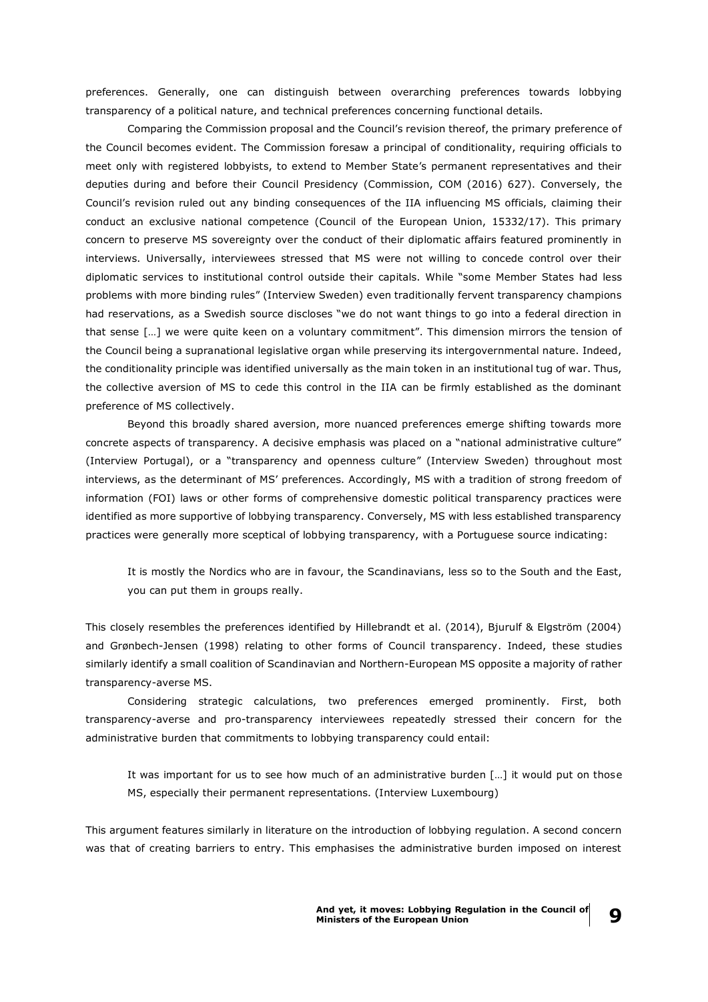preferences. Generally, one can distinguish between overarching preferences towards lobbying transparency of a political nature, and technical preferences concerning functional details.

Comparing the Commission proposal and the Council's revision thereof, the primary preference of the Council becomes evident. The Commission foresaw a principal of conditionality, requiring officials to meet only with registered lobbyists, to extend to Member State's permanent representatives and their deputies during and before their Council Presidency (Commission, COM (2016) 627). Conversely, the Council's revision ruled out any binding consequences of the IIA influencing MS officials, claiming their conduct an exclusive national competence (Council of the European Union, 15332/17). This primary concern to preserve MS sovereignty over the conduct of their diplomatic affairs featured prominently in interviews. Universally, interviewees stressed that MS were not willing to concede control over their diplomatic services to institutional control outside their capitals. While "some Member States had less problems with more binding rules" (Interview Sweden) even traditionally fervent transparency champions had reservations, as a Swedish source discloses "we do not want things to go into a federal direction in that sense […] we were quite keen on a voluntary commitment". This dimension mirrors the tension of the Council being a supranational legislative organ while preserving its intergovernmental nature. Indeed, the conditionality principle was identified universally as the main token in an institutional tug of war. Thus, the collective aversion of MS to cede this control in the IIA can be firmly established as the dominant preference of MS collectively.

Beyond this broadly shared aversion, more nuanced preferences emerge shifting towards more concrete aspects of transparency. A decisive emphasis was placed on a "national administrative culture" (Interview Portugal), or a "transparency and openness culture" (Interview Sweden) throughout most interviews, as the determinant of MS' preferences. Accordingly, MS with a tradition of strong freedom of information (FOI) laws or other forms of comprehensive domestic political transparency practices were identified as more supportive of lobbying transparency. Conversely, MS with less established transparency practices were generally more sceptical of lobbying transparency, with a Portuguese source indicating:

It is mostly the Nordics who are in favour, the Scandinavians, less so to the South and the East, you can put them in groups really.

This closely resembles the preferences identified by Hillebrandt et al. (2014), Bjurulf & Elgström (2004) and Grønbech-Jensen (1998) relating to other forms of Council transparency. Indeed, these studies similarly identify a small coalition of Scandinavian and Northern-European MS opposite a majority of rather transparency-averse MS.

Considering strategic calculations, two preferences emerged prominently. First, both transparency-averse and pro-transparency interviewees repeatedly stressed their concern for the administrative burden that commitments to lobbying transparency could entail:

It was important for us to see how much of an administrative burden […] it would put on those MS, especially their permanent representations. (Interview Luxembourg)

This argument features similarly in literature on the introduction of lobbying regulation. A second concern was that of creating barriers to entry. This emphasises the administrative burden imposed on interest

**9**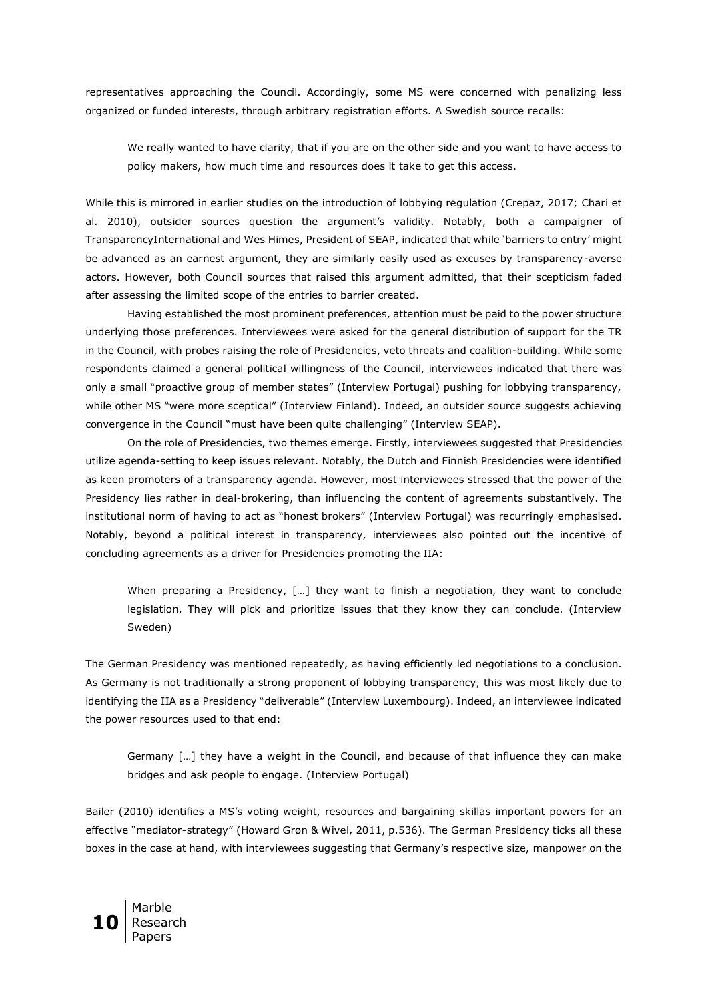representatives approaching the Council. Accordingly, some MS were concerned with penalizing less organized or funded interests, through arbitrary registration efforts. A Swedish source recalls:

We really wanted to have clarity, that if you are on the other side and you want to have access to policy makers, how much time and resources does it take to get this access.

While this is mirrored in earlier studies on the introduction of lobbying regulation (Crepaz, 2017; Chari et al. 2010), outsider sources question the argument's validity. Notably, both a campaigner of TransparencyInternational and Wes Himes, President of SEAP, indicated that while 'barriers to entry' might be advanced as an earnest argument, they are similarly easily used as excuses by transparency-averse actors. However, both Council sources that raised this argument admitted, that their scepticism faded after assessing the limited scope of the entries to barrier created.

Having established the most prominent preferences, attention must be paid to the power structure underlying those preferences. Interviewees were asked for the general distribution of support for the TR in the Council, with probes raising the role of Presidencies, veto threats and coalition-building. While some respondents claimed a general political willingness of the Council, interviewees indicated that there was only a small "proactive group of member states" (Interview Portugal) pushing for lobbying transparency, while other MS "were more sceptical" (Interview Finland). Indeed, an outsider source suggests achieving convergence in the Council "must have been quite challenging" (Interview SEAP).

On the role of Presidencies, two themes emerge. Firstly, interviewees suggested that Presidencies utilize agenda-setting to keep issues relevant. Notably, the Dutch and Finnish Presidencies were identified as keen promoters of a transparency agenda. However, most interviewees stressed that the power of the Presidency lies rather in deal-brokering, than influencing the content of agreements substantively. The institutional norm of having to act as "honest brokers" (Interview Portugal) was recurringly emphasised. Notably, beyond a political interest in transparency, interviewees also pointed out the incentive of concluding agreements as a driver for Presidencies promoting the IIA:

When preparing a Presidency, […] they want to finish a negotiation, they want to conclude legislation. They will pick and prioritize issues that they know they can conclude. (Interview Sweden)

The German Presidency was mentioned repeatedly, as having efficiently led negotiations to a conclusion. As Germany is not traditionally a strong proponent of lobbying transparency, this was most likely due to identifying the IIA as a Presidency "deliverable" (Interview Luxembourg). Indeed, an interviewee indicated the power resources used to that end:

Germany […] they have a weight in the Council, and because of that influence they can make bridges and ask people to engage. (Interview Portugal)

Bailer (2010) identifies a MS's voting weight, resources and bargaining skillas important powers for an effective "mediator-strategy" (Howard Grøn & Wivel, 2011, p.536). The German Presidency ticks all these boxes in the case at hand, with interviewees suggesting that Germany's respective size, manpower on the

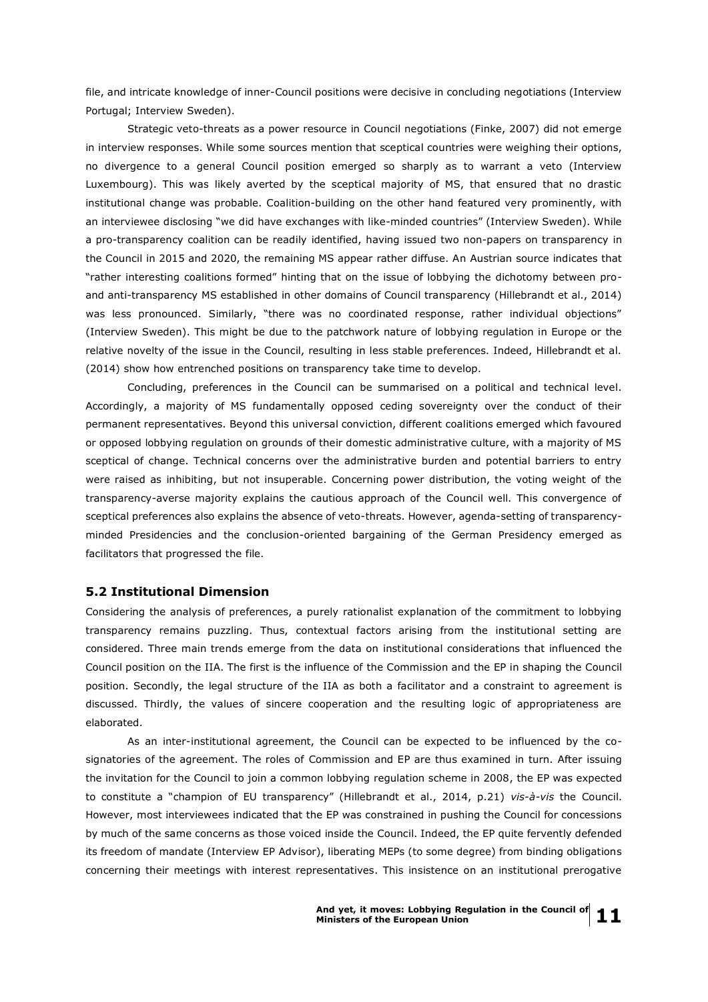file, and intricate knowledge of inner-Council positions were decisive in concluding negotiations (Interview Portugal; Interview Sweden).

Strategic veto-threats as a power resource in Council negotiations (Finke, 2007) did not emerge in interview responses. While some sources mention that sceptical countries were weighing their options, no divergence to a general Council position emerged so sharply as to warrant a veto (Interview Luxembourg). This was likely averted by the sceptical majority of MS, that ensured that no drastic institutional change was probable. Coalition-building on the other hand featured very prominently, with an interviewee disclosing "we did have exchanges with like-minded countries" (Interview Sweden). While a pro-transparency coalition can be readily identified, having issued two non-papers on transparency in the Council in 2015 and 2020, the remaining MS appear rather diffuse. An Austrian source indicates that "rather interesting coalitions formed" hinting that on the issue of lobbying the dichotomy between proand anti-transparency MS established in other domains of Council transparency (Hillebrandt et al., 2014) was less pronounced. Similarly, "there was no coordinated response, rather individual objections" (Interview Sweden). This might be due to the patchwork nature of lobbying regulation in Europe or the relative novelty of the issue in the Council, resulting in less stable preferences. Indeed, Hillebrandt et al. (2014) show how entrenched positions on transparency take time to develop.

Concluding, preferences in the Council can be summarised on a political and technical level. Accordingly, a majority of MS fundamentally opposed ceding sovereignty over the conduct of their permanent representatives. Beyond this universal conviction, different coalitions emerged which favoured or opposed lobbying regulation on grounds of their domestic administrative culture, with a majority of MS sceptical of change. Technical concerns over the administrative burden and potential barriers to entry were raised as inhibiting, but not insuperable. Concerning power distribution, the voting weight of the transparency-averse majority explains the cautious approach of the Council well. This convergence of sceptical preferences also explains the absence of veto-threats. However, agenda-setting of transparencyminded Presidencies and the conclusion-oriented bargaining of the German Presidency emerged as facilitators that progressed the file.

#### **5.2 Institutional Dimension**

Considering the analysis of preferences, a purely rationalist explanation of the commitment to lobbying transparency remains puzzling. Thus, contextual factors arising from the institutional setting are considered. Three main trends emerge from the data on institutional considerations that influenced the Council position on the IIA. The first is the influence of the Commission and the EP in shaping the Council position. Secondly, the legal structure of the IIA as both a facilitator and a constraint to agreement is discussed. Thirdly, the values of sincere cooperation and the resulting logic of appropriateness are elaborated.

As an inter-institutional agreement, the Council can be expected to be influenced by the cosignatories of the agreement. The roles of Commission and EP are thus examined in turn. After issuing the invitation for the Council to join a common lobbying regulation scheme in 2008, the EP was expected to constitute a "champion of EU transparency" (Hillebrandt et al., 2014, p.21) *vis-à-vis* the Council. However, most interviewees indicated that the EP was constrained in pushing the Council for concessions by much of the same concerns as those voiced inside the Council. Indeed, the EP quite fervently defended its freedom of mandate (Interview EP Advisor), liberating MEPs (to some degree) from binding obligations concerning their meetings with interest representatives. This insistence on an institutional prerogative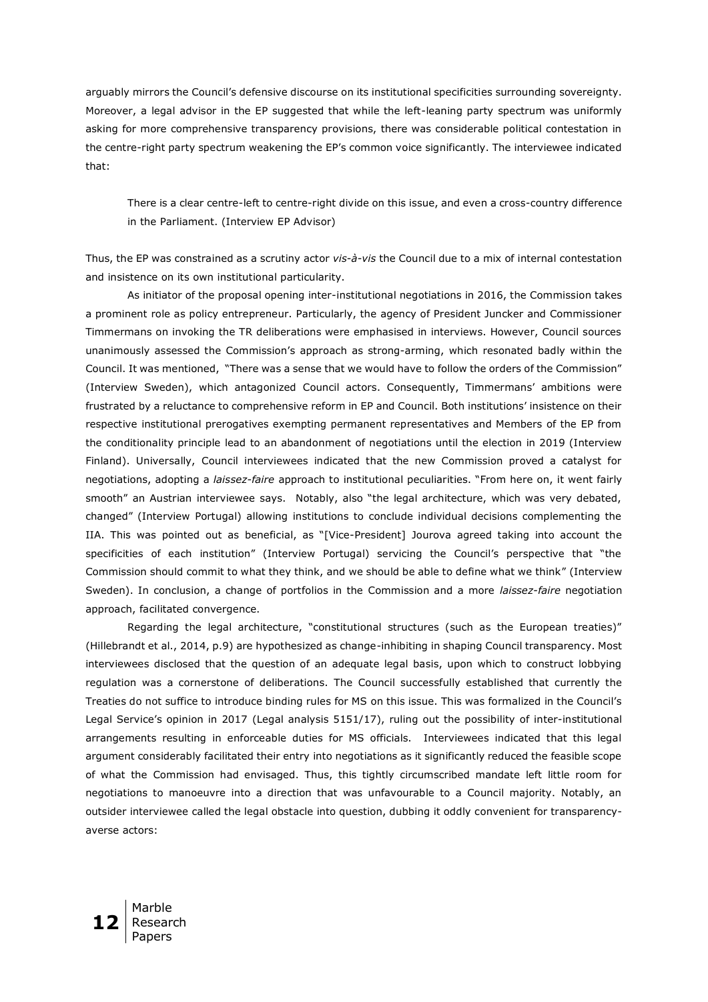arguably mirrors the Council's defensive discourse on its institutional specificities surrounding sovereignty. Moreover, a legal advisor in the EP suggested that while the left-leaning party spectrum was uniformly asking for more comprehensive transparency provisions, there was considerable political contestation in the centre-right party spectrum weakening the EP's common voice significantly. The interviewee indicated that:

There is a clear centre-left to centre-right divide on this issue, and even a cross-country difference in the Parliament. (Interview EP Advisor)

Thus, the EP was constrained as a scrutiny actor *vis-à-vis* the Council due to a mix of internal contestation and insistence on its own institutional particularity.

As initiator of the proposal opening inter-institutional negotiations in 2016, the Commission takes a prominent role as policy entrepreneur. Particularly, the agency of President Juncker and Commissioner Timmermans on invoking the TR deliberations were emphasised in interviews. However, Council sources unanimously assessed the Commission's approach as strong-arming, which resonated badly within the Council. It was mentioned, "There was a sense that we would have to follow the orders of the Commission" (Interview Sweden), which antagonized Council actors. Consequently, Timmermans' ambitions were frustrated by a reluctance to comprehensive reform in EP and Council. Both institutions' insistence on their respective institutional prerogatives exempting permanent representatives and Members of the EP from the conditionality principle lead to an abandonment of negotiations until the election in 2019 (Interview Finland). Universally, Council interviewees indicated that the new Commission proved a catalyst for negotiations, adopting a *laissez-faire* approach to institutional peculiarities. "From here on, it went fairly smooth" an Austrian interviewee says. Notably, also "the legal architecture, which was very debated, changed" (Interview Portugal) allowing institutions to conclude individual decisions complementing the IIA. This was pointed out as beneficial, as "[Vice-President] Jourova agreed taking into account the specificities of each institution" (Interview Portugal) servicing the Council's perspective that "the Commission should commit to what they think, and we should be able to define what we think" (Interview Sweden). In conclusion, a change of portfolios in the Commission and a more *laissez-faire* negotiation approach, facilitated convergence.

Regarding the legal architecture, "constitutional structures (such as the European treaties)" (Hillebrandt et al., 2014, p.9) are hypothesized as change-inhibiting in shaping Council transparency. Most interviewees disclosed that the question of an adequate legal basis, upon which to construct lobbying regulation was a cornerstone of deliberations. The Council successfully established that currently the Treaties do not suffice to introduce binding rules for MS on this issue. This was formalized in the Council's Legal Service's opinion in 2017 (Legal analysis 5151/17), ruling out the possibility of inter-institutional arrangements resulting in enforceable duties for MS officials. Interviewees indicated that this legal argument considerably facilitated their entry into negotiations as it significantly reduced the feasible scope of what the Commission had envisaged. Thus, this tightly circumscribed mandate left little room for negotiations to manoeuvre into a direction that was unfavourable to a Council majority. Notably, an outsider interviewee called the legal obstacle into question, dubbing it oddly convenient for transparencyaverse actors:

**12** Marble Research Papers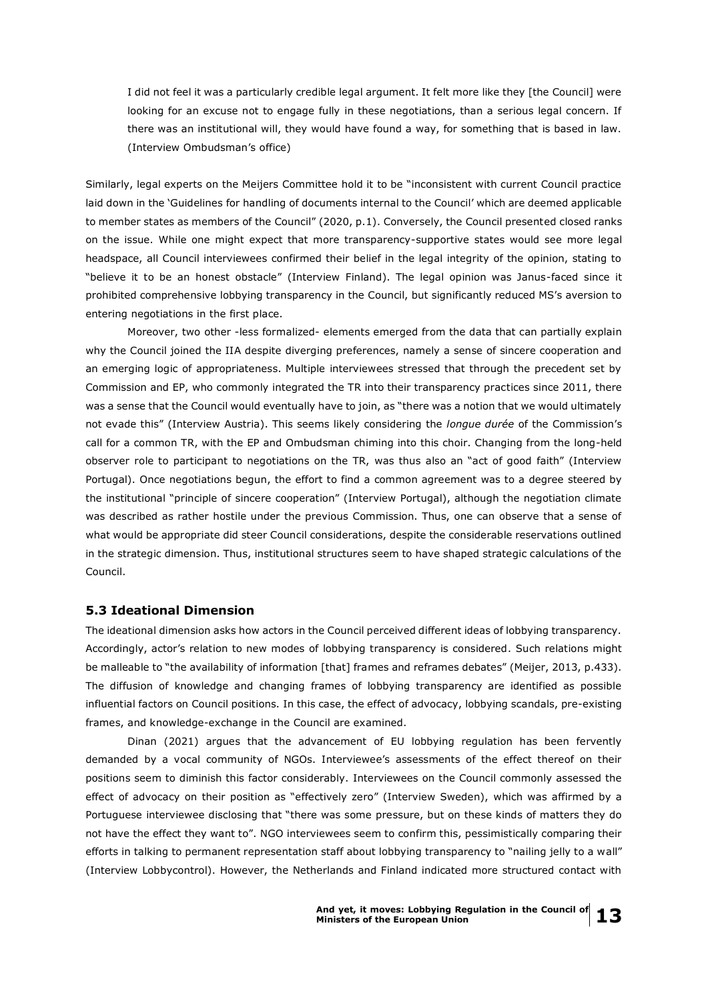I did not feel it was a particularly credible legal argument. It felt more like they [the Council] were looking for an excuse not to engage fully in these negotiations, than a serious legal concern. If there was an institutional will, they would have found a way, for something that is based in law. (Interview Ombudsman's office)

Similarly, legal experts on the Meijers Committee hold it to be "inconsistent with current Council practice laid down in the 'Guidelines for handling of documents internal to the Council' which are deemed applicable to member states as members of the Council" (2020, p.1). Conversely, the Council presented closed ranks on the issue. While one might expect that more transparency-supportive states would see more legal headspace, all Council interviewees confirmed their belief in the legal integrity of the opinion, stating to "believe it to be an honest obstacle" (Interview Finland). The legal opinion was Janus-faced since it prohibited comprehensive lobbying transparency in the Council, but significantly reduced MS's aversion to entering negotiations in the first place.

Moreover, two other -less formalized- elements emerged from the data that can partially explain why the Council joined the IIA despite diverging preferences, namely a sense of sincere cooperation and an emerging logic of appropriateness. Multiple interviewees stressed that through the precedent set by Commission and EP, who commonly integrated the TR into their transparency practices since 2011, there was a sense that the Council would eventually have to join, as "there was a notion that we would ultimately not evade this" (Interview Austria). This seems likely considering the *longue durée* of the Commission's call for a common TR, with the EP and Ombudsman chiming into this choir. Changing from the long-held observer role to participant to negotiations on the TR, was thus also an "act of good faith" (Interview Portugal). Once negotiations begun, the effort to find a common agreement was to a degree steered by the institutional "principle of sincere cooperation" (Interview Portugal), although the negotiation climate was described as rather hostile under the previous Commission. Thus, one can observe that a sense of what would be appropriate did steer Council considerations, despite the considerable reservations outlined in the strategic dimension. Thus, institutional structures seem to have shaped strategic calculations of the Council.

#### **5.3 Ideational Dimension**

The ideational dimension asks how actors in the Council perceived different ideas of lobbying transparency. Accordingly, actor's relation to new modes of lobbying transparency is considered. Such relations might be malleable to "the availability of information [that] frames and reframes debates" (Meijer, 2013, p.433). The diffusion of knowledge and changing frames of lobbying transparency are identified as possible influential factors on Council positions. In this case, the effect of advocacy, lobbying scandals, pre-existing frames, and knowledge-exchange in the Council are examined.

Dinan (2021) argues that the advancement of EU lobbying regulation has been fervently demanded by a vocal community of NGOs. Interviewee's assessments of the effect thereof on their positions seem to diminish this factor considerably. Interviewees on the Council commonly assessed the effect of advocacy on their position as "effectively zero" (Interview Sweden), which was affirmed by a Portuguese interviewee disclosing that "there was some pressure, but on these kinds of matters they do not have the effect they want to". NGO interviewees seem to confirm this, pessimistically comparing their efforts in talking to permanent representation staff about lobbying transparency to "nailing jelly to a wall" (Interview Lobbycontrol). However, the Netherlands and Finland indicated more structured contact with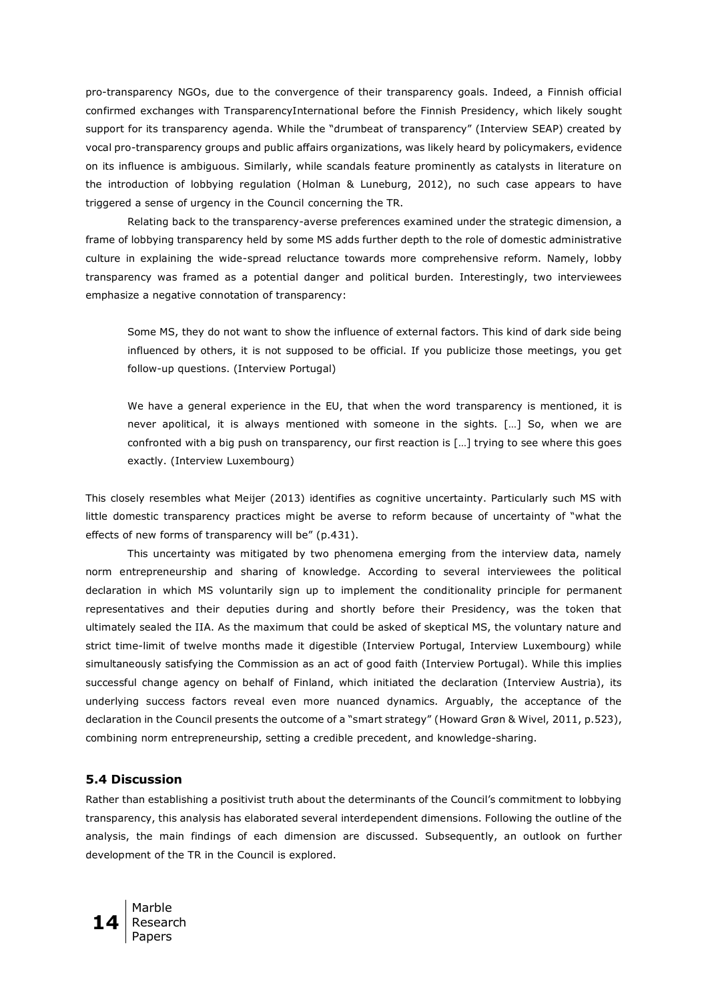pro-transparency NGOs, due to the convergence of their transparency goals. Indeed, a Finnish official confirmed exchanges with TransparencyInternational before the Finnish Presidency, which likely sought support for its transparency agenda. While the "drumbeat of transparency" (Interview SEAP) created by vocal pro-transparency groups and public affairs organizations, was likely heard by policymakers, evidence on its influence is ambiguous. Similarly, while scandals feature prominently as catalysts in literature on the introduction of lobbying regulation (Holman & Luneburg, 2012), no such case appears to have triggered a sense of urgency in the Council concerning the TR.

Relating back to the transparency-averse preferences examined under the strategic dimension, a frame of lobbying transparency held by some MS adds further depth to the role of domestic administrative culture in explaining the wide-spread reluctance towards more comprehensive reform. Namely, lobby transparency was framed as a potential danger and political burden. Interestingly, two interviewees emphasize a negative connotation of transparency:

Some MS, they do not want to show the influence of external factors. This kind of dark side being influenced by others, it is not supposed to be official. If you publicize those meetings, you get follow-up questions. (Interview Portugal)

We have a general experience in the EU, that when the word transparency is mentioned, it is never apolitical, it is always mentioned with someone in the sights. […] So, when we are confronted with a big push on transparency, our first reaction is […] trying to see where this goes exactly. (Interview Luxembourg)

This closely resembles what Meijer (2013) identifies as cognitive uncertainty. Particularly such MS with little domestic transparency practices might be averse to reform because of uncertainty of "what the effects of new forms of transparency will be" (p.431).

This uncertainty was mitigated by two phenomena emerging from the interview data, namely norm entrepreneurship and sharing of knowledge. According to several interviewees the political declaration in which MS voluntarily sign up to implement the conditionality principle for permanent representatives and their deputies during and shortly before their Presidency, was the token that ultimately sealed the IIA. As the maximum that could be asked of skeptical MS, the voluntary nature and strict time-limit of twelve months made it digestible (Interview Portugal, Interview Luxembourg) while simultaneously satisfying the Commission as an act of good faith (Interview Portugal). While this implies successful change agency on behalf of Finland, which initiated the declaration (Interview Austria), its underlying success factors reveal even more nuanced dynamics. Arguably, the acceptance of the declaration in the Council presents the outcome of a "smart strategy" (Howard Grøn & Wivel, 2011, p.523), combining norm entrepreneurship, setting a credible precedent, and knowledge-sharing.

#### **5.4 Discussion**

Rather than establishing a positivist truth about the determinants of the Council's commitment to lobbying transparency, this analysis has elaborated several interdependent dimensions. Following the outline of the analysis, the main findings of each dimension are discussed. Subsequently, an outlook on further development of the TR in the Council is explored.

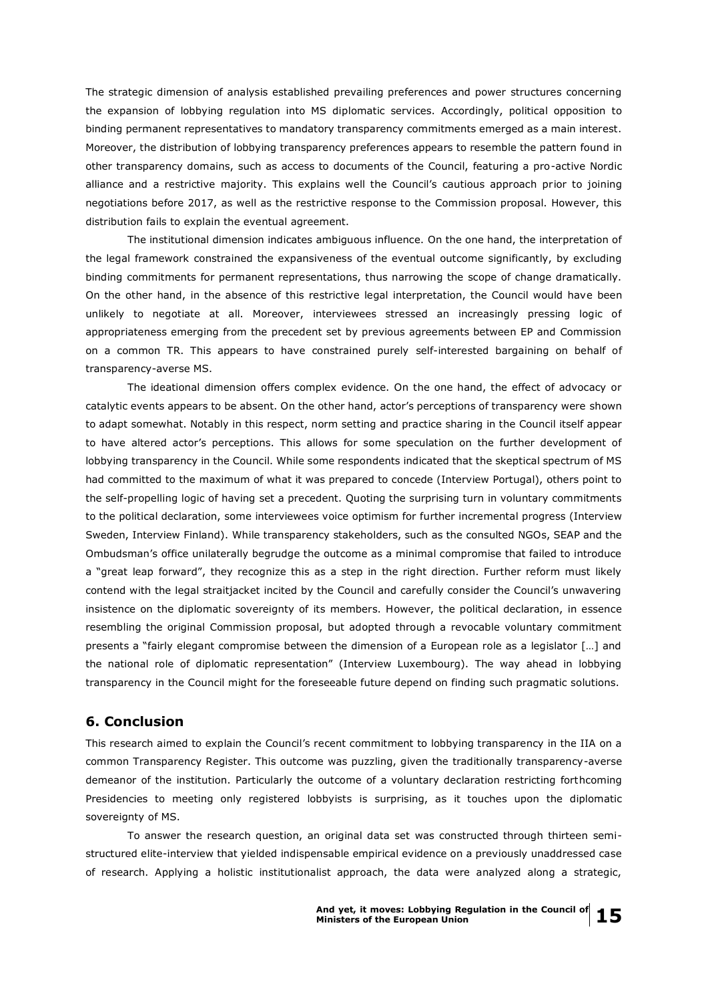The strategic dimension of analysis established prevailing preferences and power structures concerning the expansion of lobbying regulation into MS diplomatic services. Accordingly, political opposition to binding permanent representatives to mandatory transparency commitments emerged as a main interest. Moreover, the distribution of lobbying transparency preferences appears to resemble the pattern found in other transparency domains, such as access to documents of the Council, featuring a pro-active Nordic alliance and a restrictive majority. This explains well the Council's cautious approach prior to joining negotiations before 2017, as well as the restrictive response to the Commission proposal. However, this distribution fails to explain the eventual agreement.

The institutional dimension indicates ambiguous influence. On the one hand, the interpretation of the legal framework constrained the expansiveness of the eventual outcome significantly, by excluding binding commitments for permanent representations, thus narrowing the scope of change dramatically. On the other hand, in the absence of this restrictive legal interpretation, the Council would have been unlikely to negotiate at all. Moreover, interviewees stressed an increasingly pressing logic of appropriateness emerging from the precedent set by previous agreements between EP and Commission on a common TR. This appears to have constrained purely self-interested bargaining on behalf of transparency-averse MS.

The ideational dimension offers complex evidence. On the one hand, the effect of advocacy or catalytic events appears to be absent. On the other hand, actor's perceptions of transparency were shown to adapt somewhat. Notably in this respect, norm setting and practice sharing in the Council itself appear to have altered actor's perceptions. This allows for some speculation on the further development of lobbying transparency in the Council. While some respondents indicated that the skeptical spectrum of MS had committed to the maximum of what it was prepared to concede (Interview Portugal), others point to the self-propelling logic of having set a precedent. Quoting the surprising turn in voluntary commitments to the political declaration, some interviewees voice optimism for further incremental progress (Interview Sweden, Interview Finland). While transparency stakeholders, such as the consulted NGOs, SEAP and the Ombudsman's office unilaterally begrudge the outcome as a minimal compromise that failed to introduce a "great leap forward", they recognize this as a step in the right direction. Further reform must likely contend with the legal straitjacket incited by the Council and carefully consider the Council's unwavering insistence on the diplomatic sovereignty of its members. However, the political declaration, in essence resembling the original Commission proposal, but adopted through a revocable voluntary commitment presents a "fairly elegant compromise between the dimension of a European role as a legislator […] and the national role of diplomatic representation" (Interview Luxembourg). The way ahead in lobbying transparency in the Council might for the foreseeable future depend on finding such pragmatic solutions.

## **6. Conclusion**

This research aimed to explain the Council's recent commitment to lobbying transparency in the IIA on a common Transparency Register. This outcome was puzzling, given the traditionally transparency-averse demeanor of the institution. Particularly the outcome of a voluntary declaration restricting forthcoming Presidencies to meeting only registered lobbyists is surprising, as it touches upon the diplomatic sovereignty of MS.

To answer the research question, an original data set was constructed through thirteen semistructured elite-interview that yielded indispensable empirical evidence on a previously unaddressed case of research. Applying a holistic institutionalist approach, the data were analyzed along a strategic,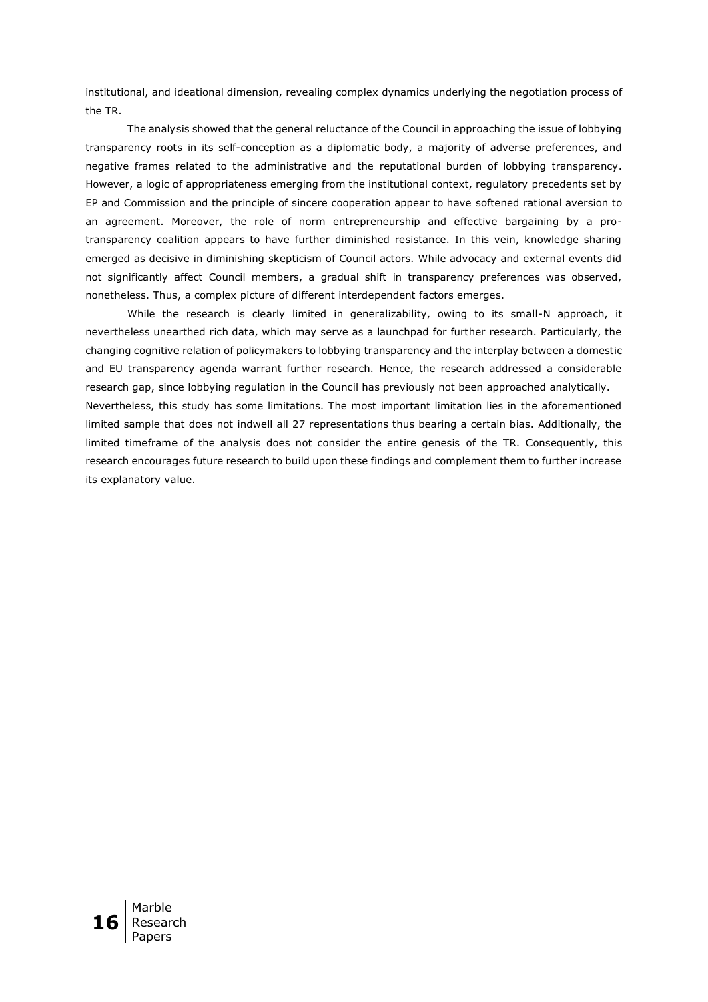institutional, and ideational dimension, revealing complex dynamics underlying the negotiation process of the TR.

The analysis showed that the general reluctance of the Council in approaching the issue of lobbying transparency roots in its self-conception as a diplomatic body, a majority of adverse preferences, and negative frames related to the administrative and the reputational burden of lobbying transparency. However, a logic of appropriateness emerging from the institutional context, regulatory precedents set by EP and Commission and the principle of sincere cooperation appear to have softened rational aversion to an agreement. Moreover, the role of norm entrepreneurship and effective bargaining by a protransparency coalition appears to have further diminished resistance. In this vein, knowledge sharing emerged as decisive in diminishing skepticism of Council actors. While advocacy and external events did not significantly affect Council members, a gradual shift in transparency preferences was observed, nonetheless. Thus, a complex picture of different interdependent factors emerges.

While the research is clearly limited in generalizability, owing to its small-N approach, it nevertheless unearthed rich data, which may serve as a launchpad for further research. Particularly, the changing cognitive relation of policymakers to lobbying transparency and the interplay between a domestic and EU transparency agenda warrant further research. Hence, the research addressed a considerable research gap, since lobbying regulation in the Council has previously not been approached analytically. Nevertheless, this study has some limitations. The most important limitation lies in the aforementioned limited sample that does not indwell all 27 representations thus bearing a certain bias. Additionally, the limited timeframe of the analysis does not consider the entire genesis of the TR. Consequently, this research encourages future research to build upon these findings and complement them to further increase its explanatory value.

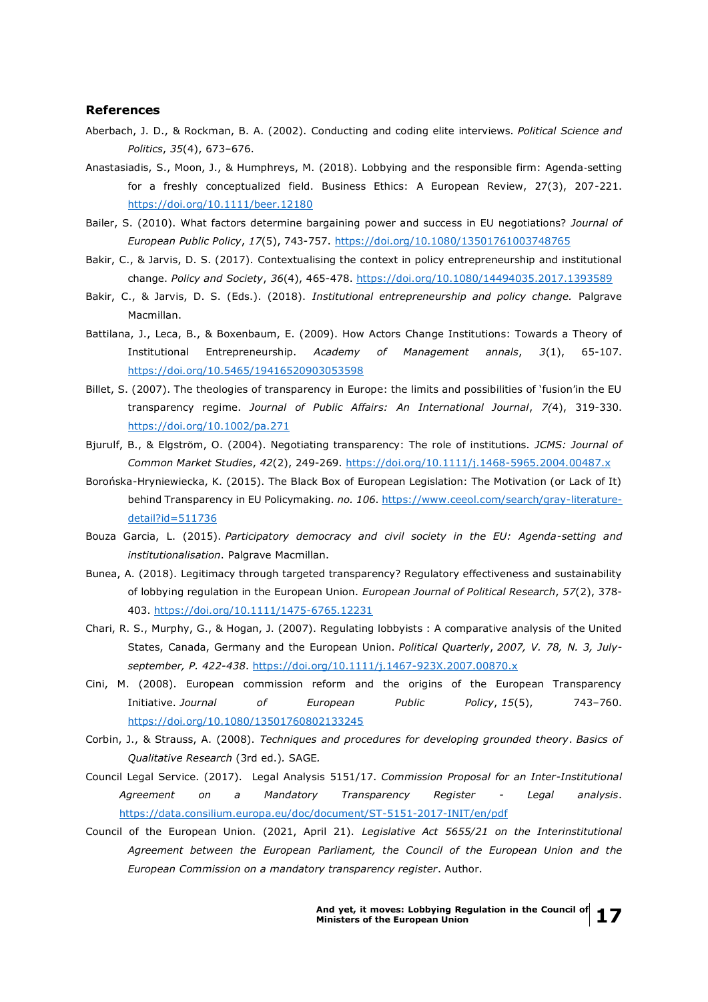### **References**

- Aberbach, J. D., & Rockman, B. A. (2002). Conducting and coding elite interviews. *Political Science and Politics*, *35*(4), 673–676.
- Anastasiadis, S., Moon, J., & Humphreys, M. (2018). Lobbying and the responsible firm: Agenda‐setting for a freshly conceptualized field. Business Ethics: A European Review, 27(3), 207-221. <https://doi.org/10.1111/beer.12180>
- Bailer, S. (2010). What factors determine bargaining power and success in EU negotiations? *Journal of European Public Policy*, *17*(5), 743-757.<https://doi.org/10.1080/13501761003748765>
- Bakir, C., & Jarvis, D. S. (2017). Contextualising the context in policy entrepreneurship and institutional change. *Policy and Society*, *36*(4), 465-478.<https://doi.org/10.1080/14494035.2017.1393589>
- Bakir, C., & Jarvis, D. S. (Eds.). (2018). *Institutional entrepreneurship and policy change.* Palgrave Macmillan.
- Battilana, J., Leca, B., & Boxenbaum, E. (2009). How Actors Change Institutions: Towards a Theory of Institutional Entrepreneurship. *Academy of Management annals*, *3*(1), 65-107. <https://doi.org/10.5465/19416520903053598>
- Billet, S. (2007). The theologies of transparency in Europe: the limits and possibilities of 'fusion'in the EU transparency regime. *Journal of Public Affairs: An International Journal*, *7(*4), 319-330. <https://doi.org/10.1002/pa.271>
- Bjurulf, B., & Elgström, O. (2004). Negotiating transparency: The role of institutions. *JCMS: Journal of Common Market Studies*, *42*(2), 249-269.<https://doi.org/10.1111/j.1468-5965.2004.00487.x>
- Borońska-Hryniewiecka, K. (2015). The Black Box of European Legislation: The Motivation (or Lack of It) behind Transparency in EU Policymaking. *no. 106*. [https://www.ceeol.com/search/gray-literature](https://www.ceeol.com/search/gray-literature-detail?id=511736)[detail?id=511736](https://www.ceeol.com/search/gray-literature-detail?id=511736)
- Bouza Garcia, L. (2015). *Participatory democracy and civil society in the EU: Agenda-setting and institutionalisation*. Palgrave Macmillan.
- Bunea, A. (2018). Legitimacy through targeted transparency? Regulatory effectiveness and sustainability of lobbying regulation in the European Union. *European Journal of Political Research*, *57*(2), 378- 403.<https://doi.org/10.1111/1475-6765.12231>
- Chari, R. S., Murphy, G., & Hogan, J. (2007). Regulating lobbyists : A comparative analysis of the United States, Canada, Germany and the European Union. *Political Quarterly*, *2007, V. 78, N. 3, Julyseptember, P. 422-438*.<https://doi.org/10.1111/j.1467-923X.2007.00870.x>
- Cini, M. (2008). European commission reform and the origins of the European Transparency Initiative. *Journal of European Public Policy*, *15*(5), 743–760. <https://doi.org/10.1080/13501760802133245>
- Corbin, J., & Strauss, A. (2008). *Techniques and procedures for developing grounded theory*. *Basics of Qualitative Research* (3rd ed.)*.* SAGE*.*
- Council Legal Service. (2017). Legal Analysis 5151/17. *Commission Proposal for an Inter-Institutional Agreement on a Mandatory Transparency Register - Legal analysis*. <https://data.consilium.europa.eu/doc/document/ST-5151-2017-INIT/en/pdf>
- Council of the European Union. (2021, April 21). *Legislative Act 5655/21 on the Interinstitutional Agreement between the European Parliament, the Council of the European Union and the European Commission on a mandatory transparency register*. Author.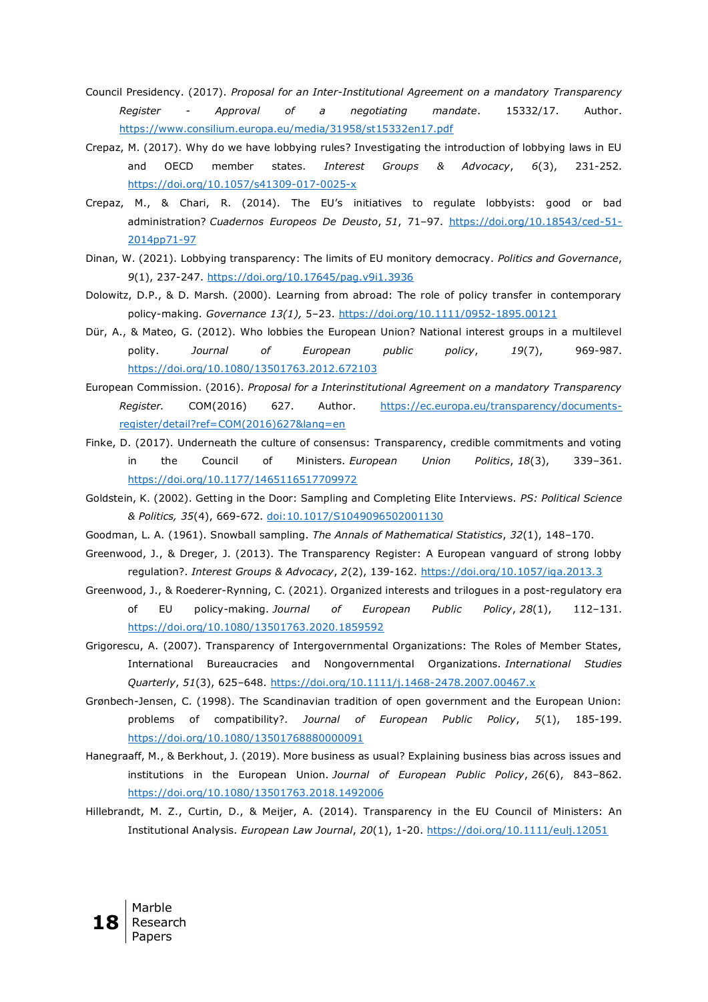- Council Presidency. (2017). *Proposal for an Inter-Institutional Agreement on a mandatory Transparency Register - Approval of a negotiating mandate*. 15332/17. Author. <https://www.consilium.europa.eu/media/31958/st15332en17.pdf>
- Crepaz, M. (2017). Why do we have lobbying rules? Investigating the introduction of lobbying laws in EU and OECD member states. *Interest Groups & Advocacy*, *6*(3), 231-252. <https://doi.org/10.1057/s41309-017-0025-x>
- Crepaz, M., & Chari, R. (2014). The EU's initiatives to regulate lobbyists: good or bad administration? *Cuadernos Europeos De Deusto*, *51*, 71–97. [https://doi.org/10.18543/ced-51-](https://doi.org/10.18543/ced-51-2014pp71-97) [2014pp71-97](https://doi.org/10.18543/ced-51-2014pp71-97)
- Dinan, W. (2021). Lobbying transparency: The limits of EU monitory democracy. *Politics and Governance*, *9*(1), 237-247.<https://doi.org/10.17645/pag.v9i1.3936>
- Dolowitz, D.P., & D. Marsh. (2000). Learning from abroad: The role of policy transfer in contemporary policy-making. *Governance 13(1),* 5–23.<https://doi.org/10.1111/0952-1895.00121>
- Dür, A., & Mateo, G. (2012). Who lobbies the European Union? National interest groups in a multilevel polity. *Journal of European public policy*, *19*(7), 969-987. <https://doi.org/10.1080/13501763.2012.672103>
- European Commission. (2016). *Proposal for a Interinstitutional Agreement on a mandatory Transparency Register.* COM(2016) 627. Author. [https://ec.europa.eu/transparency/documents](https://ec.europa.eu/transparency/documents-register/detail?ref=COM(2016)627&lang=en)[register/detail?ref=COM\(2016\)627&lang=en](https://ec.europa.eu/transparency/documents-register/detail?ref=COM(2016)627&lang=en)
- Finke, D. (2017). Underneath the culture of consensus: Transparency, credible commitments and voting in the Council of Ministers. *European Union Politics*, *18*(3), 339–361. <https://doi.org/10.1177/1465116517709972>
- Goldstein, K. (2002). Getting in the Door: Sampling and Completing Elite Interviews. *PS: Political Science & Politics, 35*(4), 669-672.<doi:10.1017/S1049096502001130>
- Goodman, L. A. (1961). Snowball sampling. *The Annals of Mathematical Statistics*, *32*(1), 148–170.
- Greenwood, J., & Dreger, J. (2013). The Transparency Register: A European vanguard of strong lobby regulation?. *Interest Groups & Advocacy*, *2*(2), 139-162.<https://doi.org/10.1057/iga.2013.3>
- Greenwood, J., & Roederer-Rynning, C. (2021). Organized interests and trilogues in a post-regulatory era of EU policy-making. *Journal of European Public Policy*, *28*(1), 112–131. <https://doi.org/10.1080/13501763.2020.1859592>
- Grigorescu, A. (2007). Transparency of Intergovernmental Organizations: The Roles of Member States, International Bureaucracies and Nongovernmental Organizations. *International Studies Quarterly*, *51*(3), 625–648.<https://doi.org/10.1111/j.1468-2478.2007.00467.x>
- Grønbech-Jensen, C. (1998). The Scandinavian tradition of open government and the European Union: problems of compatibility?. *Journal of European Public Policy*, *5*(1), 185-199. <https://doi.org/10.1080/13501768880000091>
- Hanegraaff, M., & Berkhout, J. (2019). More business as usual? Explaining business bias across issues and institutions in the European Union. *Journal of European Public Policy*, *26*(6), 843–862. <https://doi.org/10.1080/13501763.2018.1492006>
- Hillebrandt, M. Z., Curtin, D., & Meijer, A. (2014). Transparency in the EU Council of Ministers: An Institutional Analysis. *European Law Journal*, *20*(1), 1-20.<https://doi.org/10.1111/eulj.12051>

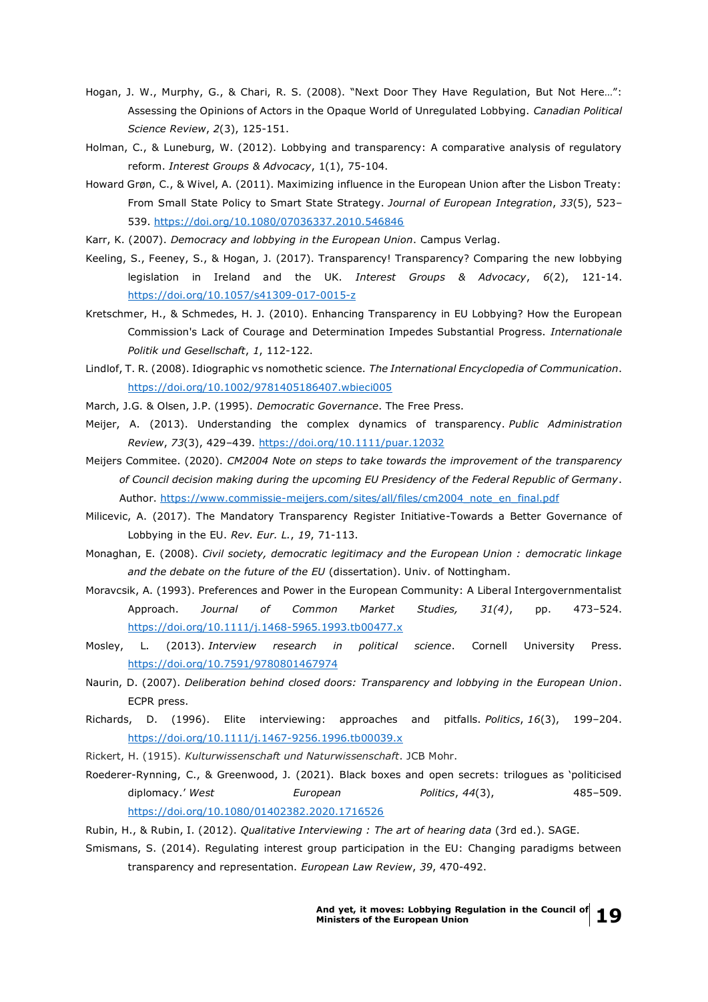- Hogan, J. W., Murphy, G., & Chari, R. S. (2008). "Next Door They Have Regulation, But Not Here…": Assessing the Opinions of Actors in the Opaque World of Unregulated Lobbying. *Canadian Political Science Review*, *2*(3), 125-151.
- Holman, C., & Luneburg, W. (2012). Lobbying and transparency: A comparative analysis of regulatory reform. *Interest Groups & Advocacy*, 1(1), 75-104.
- Howard Grøn, C., & Wivel, A. (2011). Maximizing influence in the European Union after the Lisbon Treaty: From Small State Policy to Smart State Strategy. *Journal of European Integration*, *33*(5), 523– 539.<https://doi.org/10.1080/07036337.2010.546846>
- Karr, K. (2007). *Democracy and lobbying in the European Union*. Campus Verlag.
- Keeling, S., Feeney, S., & Hogan, J. (2017). Transparency! Transparency? Comparing the new lobbying legislation in Ireland and the UK. *Interest Groups & Advocacy*, *6*(2), 121-14. <https://doi.org/10.1057/s41309-017-0015-z>
- Kretschmer, H., & Schmedes, H. J. (2010). Enhancing Transparency in EU Lobbying? How the European Commission's Lack of Courage and Determination Impedes Substantial Progress. *Internationale Politik und Gesellschaft*, *1*, 112-122.
- Lindlof, T. R. (2008). Idiographic vs nomothetic science. *The International Encyclopedia of Communication*. <https://doi.org/10.1002/9781405186407.wbieci005>
- March, J.G. & Olsen, J.P. (1995). *Democratic Governance*. The Free Press.
- Meijer, A. (2013). Understanding the complex dynamics of transparency. *Public Administration Review*, *73*(3), 429–439.<https://doi.org/10.1111/puar.12032>
- Meijers Commitee. (2020). *CM2004 Note on steps to take towards the improvement of the transparency of Council decision making during the upcoming EU Presidency of the Federal Republic of Germany*. Author. [https://www.commissie-meijers.com/sites/all/files/cm2004\\_note\\_en\\_final.pdf](https://www.commissie-meijers.com/sites/all/files/cm2004_note_en_final.pdf)
- Milicevic, A. (2017). The Mandatory Transparency Register Initiative-Towards a Better Governance of Lobbying in the EU. *Rev. Eur. L.*, *19*, 71-113.
- Monaghan, E. (2008). *Civil society, democratic legitimacy and the European Union : democratic linkage and the debate on the future of the EU* (dissertation). Univ. of Nottingham.
- Moravcsik, A. (1993). Preferences and Power in the European Community: A Liberal Intergovernmentalist Approach. *Journal of Common Market Studies, 31(4)*, pp. 473–524. <https://doi.org/10.1111/j.1468-5965.1993.tb00477.x>
- Mosley, L. (2013). *Interview research in political science*. Cornell University Press. <https://doi.org/10.7591/9780801467974>
- Naurin, D. (2007). *Deliberation behind closed doors: Transparency and lobbying in the European Union*. ECPR press.
- Richards, D. (1996). Elite interviewing: approaches and pitfalls. *Politics*, *16*(3), 199–204. <https://doi.org/10.1111/j.1467-9256.1996.tb00039.x>
- Rickert, H. (1915). *Kulturwissenschaft und Naturwissenschaft*. JCB Mohr.
- Roederer-Rynning, C., & Greenwood, J. (2021). Black boxes and open secrets: trilogues as 'politicised diplomacy.' *West European Politics*, *44*(3), 485–509. <https://doi.org/10.1080/01402382.2020.1716526>
- Rubin, H., & Rubin, I. (2012). *Qualitative Interviewing : The art of hearing data* (3rd ed.). SAGE.
- Smismans, S. (2014). Regulating interest group participation in the EU: Changing paradigms between transparency and representation. *European Law Review*, *39*, 470-492.